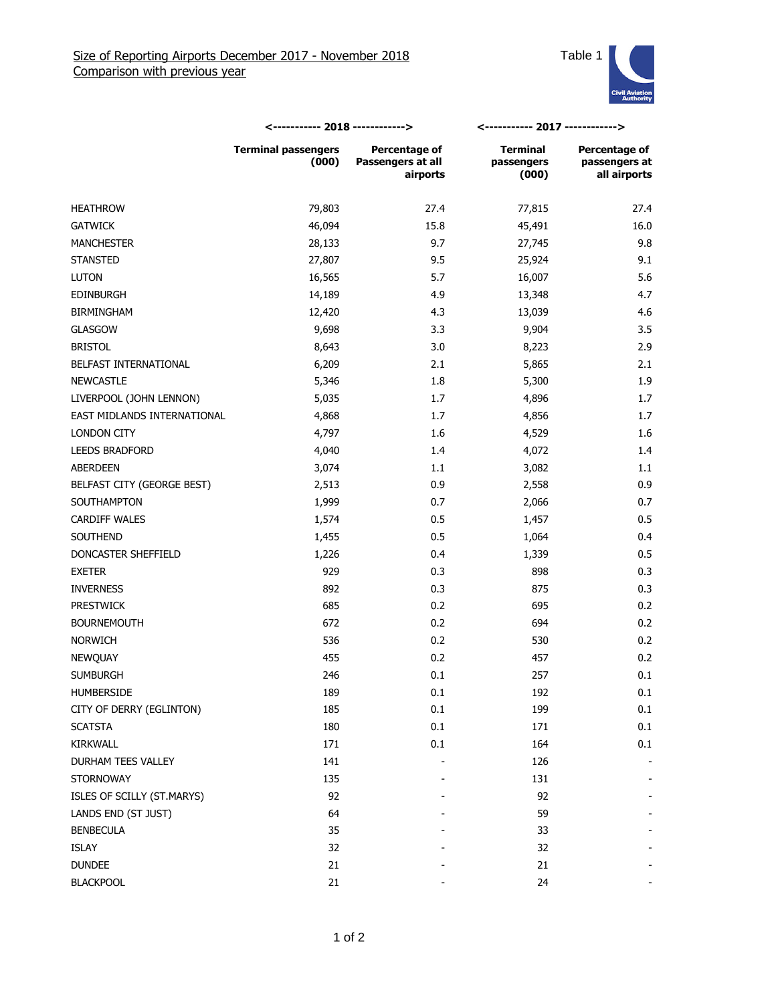

|                             | <----------- 2018 ------------>     |                                                | <----------- 2017 ------------>        |                                                       |
|-----------------------------|-------------------------------------|------------------------------------------------|----------------------------------------|-------------------------------------------------------|
|                             | <b>Terminal passengers</b><br>(000) | Percentage of<br>Passengers at all<br>airports | <b>Terminal</b><br>passengers<br>(000) | <b>Percentage of</b><br>passengers at<br>all airports |
| <b>HEATHROW</b>             | 79,803                              | 27.4                                           | 77,815                                 | 27.4                                                  |
| <b>GATWICK</b>              | 46,094                              | 15.8                                           | 45,491                                 | 16.0                                                  |
| <b>MANCHESTER</b>           | 28,133                              | 9.7                                            | 27,745                                 | 9.8                                                   |
| <b>STANSTED</b>             | 27,807                              | 9.5                                            | 25,924                                 | 9.1                                                   |
| <b>LUTON</b>                | 16,565                              | 5.7                                            | 16,007                                 | 5.6                                                   |
| <b>EDINBURGH</b>            | 14,189                              | 4.9                                            | 13,348                                 | 4.7                                                   |
| <b>BIRMINGHAM</b>           | 12,420                              | 4.3                                            | 13,039                                 | 4.6                                                   |
| <b>GLASGOW</b>              | 9,698                               | 3.3                                            | 9,904                                  | 3.5                                                   |
| <b>BRISTOL</b>              | 8,643                               | 3.0                                            | 8,223                                  | 2.9                                                   |
| BELFAST INTERNATIONAL       | 6,209                               | 2.1                                            | 5,865                                  | 2.1                                                   |
| <b>NEWCASTLE</b>            | 5,346                               | 1.8                                            | 5,300                                  | 1.9                                                   |
| LIVERPOOL (JOHN LENNON)     | 5,035                               | 1.7                                            | 4,896                                  | 1.7                                                   |
| EAST MIDLANDS INTERNATIONAL | 4,868                               | 1.7                                            | 4,856                                  | 1.7                                                   |
| LONDON CITY                 | 4,797                               | 1.6                                            | 4,529                                  | 1.6                                                   |
| <b>LEEDS BRADFORD</b>       | 4,040                               | 1.4                                            | 4,072                                  | 1.4                                                   |
| ABERDEEN                    | 3,074                               | 1.1                                            | 3,082                                  | 1.1                                                   |
| BELFAST CITY (GEORGE BEST)  | 2,513                               | 0.9                                            | 2,558                                  | 0.9                                                   |
| SOUTHAMPTON                 | 1,999                               | 0.7                                            | 2,066                                  | 0.7                                                   |
| <b>CARDIFF WALES</b>        | 1,574                               | 0.5                                            | 1,457                                  | 0.5                                                   |
| SOUTHEND                    | 1,455                               | 0.5                                            | 1,064                                  | 0.4                                                   |
| DONCASTER SHEFFIELD         | 1,226                               | 0.4                                            | 1,339                                  | 0.5                                                   |
| <b>EXETER</b>               | 929                                 | 0.3                                            | 898                                    | 0.3                                                   |
| <b>INVERNESS</b>            | 892                                 | 0.3                                            | 875                                    | 0.3                                                   |
| <b>PRESTWICK</b>            | 685                                 | 0.2                                            | 695                                    | 0.2                                                   |
| <b>BOURNEMOUTH</b>          | 672                                 | 0.2                                            | 694                                    | 0.2                                                   |
| <b>NORWICH</b>              | 536                                 | 0.2                                            | 530                                    | 0.2                                                   |
| NEWQUAY                     | 455                                 | 0.2                                            | 457                                    | 0.2                                                   |
| <b>SUMBURGH</b>             | 246                                 | 0.1                                            | 257                                    | 0.1                                                   |
| HUMBERSIDE                  | 189                                 | 0.1                                            | 192                                    | 0.1                                                   |
| CITY OF DERRY (EGLINTON)    | 185                                 | 0.1                                            | 199                                    | 0.1                                                   |
| <b>SCATSTA</b>              | 180                                 | 0.1                                            | 171                                    | 0.1                                                   |
| KIRKWALL                    | 171                                 | 0.1                                            | 164                                    | 0.1                                                   |
| DURHAM TEES VALLEY          | 141                                 |                                                | 126                                    |                                                       |
| <b>STORNOWAY</b>            | 135                                 |                                                | 131                                    |                                                       |
| ISLES OF SCILLY (ST.MARYS)  | 92                                  |                                                | 92                                     |                                                       |
| LANDS END (ST JUST)         | 64                                  |                                                | 59                                     |                                                       |
| <b>BENBECULA</b>            | 35                                  |                                                | 33                                     |                                                       |
| ISLAY                       | 32                                  |                                                | 32                                     |                                                       |
| <b>DUNDEE</b>               | 21                                  |                                                | 21                                     |                                                       |
| <b>BLACKPOOL</b>            | 21                                  |                                                | 24                                     |                                                       |